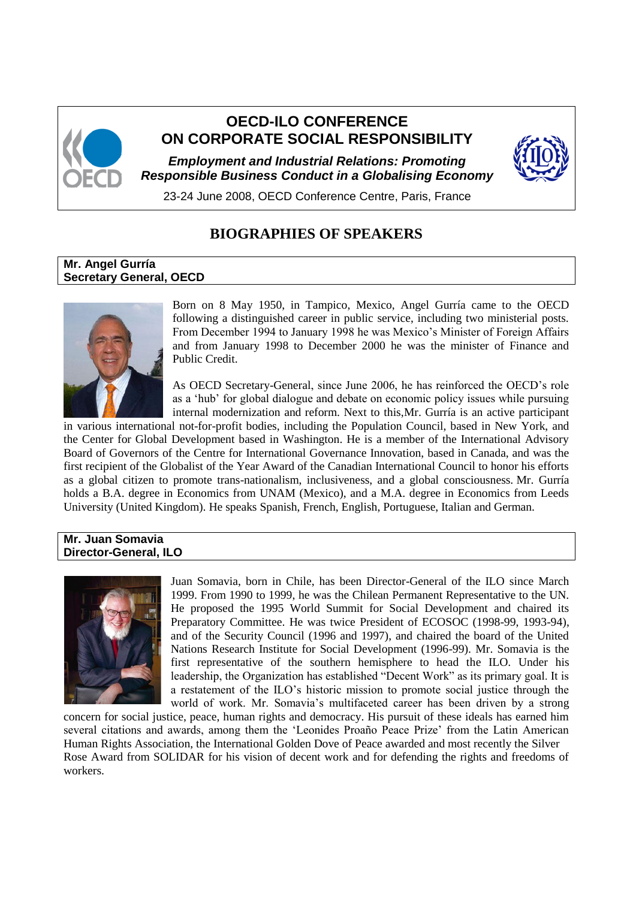

# **OECD-ILO CONFERENCE ON CORPORATE SOCIAL RESPONSIBILITY**

*Employment and Industrial Relations: Promoting Responsible Business Conduct in a Globalising Economy*



23-24 June 2008, OECD Conference Centre, Paris, France

# **BIOGRAPHIES OF SPEAKERS**

## **Mr. Angel Gurría Secretary General, OECD**



Born on 8 May 1950, in Tampico, Mexico, Angel Gurría came to the OECD following a distinguished career in public service, including two ministerial posts. From December 1994 to January 1998 he was Mexico"s Minister of Foreign Affairs and from January 1998 to December 2000 he was the minister of Finance and Public Credit.

As OECD Secretary-General, since June 2006, he has reinforced the OECD"s role as a "hub" for global dialogue and debate on economic policy issues while pursuing internal modernization and reform. Next to this,Mr. Gurría is an active participant

in various international not-for-profit bodies, including the Population Council, based in New York, and the Center for Global Development based in Washington. He is a member of the International Advisory Board of Governors of the Centre for International Governance Innovation, based in Canada, and was the first recipient of the Globalist of the Year Award of the Canadian International Council to honor his efforts as a global citizen to promote trans-nationalism, inclusiveness, and a global consciousness. Mr. Gurría holds a B.A. degree in Economics from UNAM (Mexico), and a M.A. degree in Economics from Leeds University (United Kingdom). He speaks Spanish, French, English, Portuguese, Italian and German.

#### **Mr. Juan Somavia Director-General, ILO**



Juan Somavia, born in Chile, has been Director-General of the ILO since March 1999. From 1990 to 1999, he was the Chilean Permanent Representative to the UN. He proposed the 1995 World Summit for Social Development and chaired its Preparatory Committee. He was twice President of ECOSOC (1998-99, 1993-94), and of the Security Council (1996 and 1997), and chaired the board of the United Nations Research Institute for Social Development (1996-99). Mr. Somavia is the first representative of the southern hemisphere to head the ILO. Under his leadership, the Organization has established "Decent Work" as its primary goal. It is a restatement of the ILO"s historic mission to promote social justice through the world of work. Mr. Somavia's multifaceted career has been driven by a strong

concern for social justice, peace, human rights and democracy. His pursuit of these ideals has earned him several citations and awards, among them the "Leonides Proaño Peace Prize" from the Latin American Human Rights Association, the International Golden Dove of Peace awarded and most recently the Silver Rose Award from SOLIDAR for his vision of decent work and for defending the rights and freedoms of workers.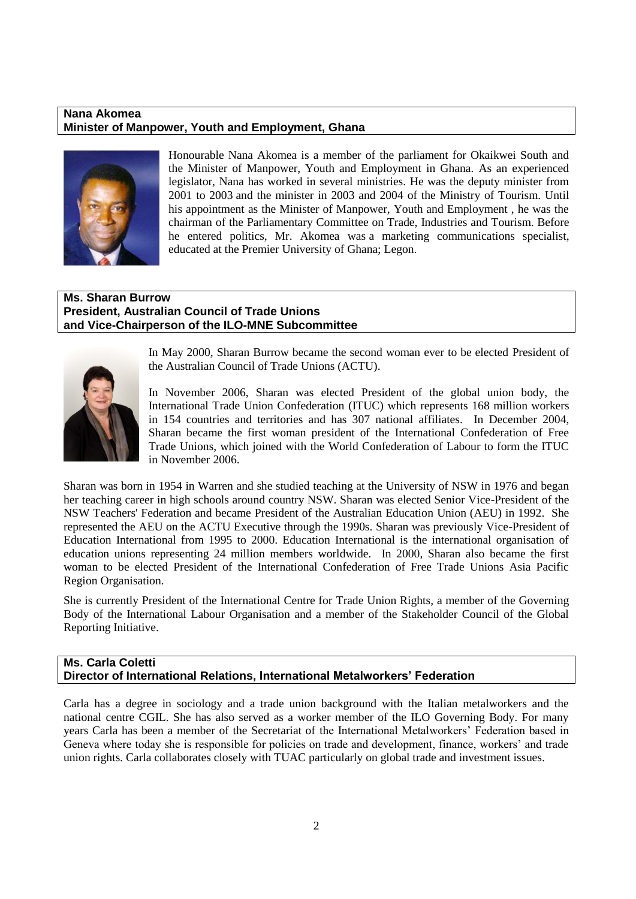#### **Nana Akomea Minister of Manpower, Youth and Employment, Ghana**



Honourable Nana Akomea is a member of the parliament for Okaikwei South and the Minister of Manpower, Youth and Employment in Ghana. As an experienced legislator, Nana has worked in several ministries. He was the deputy minister from 2001 to 2003 and the minister in 2003 and 2004 of the Ministry of Tourism. Until his appointment as the Minister of Manpower, Youth and Employment , he was the chairman of the Parliamentary Committee on Trade, Industries and Tourism. Before he entered politics, Mr. Akomea was a marketing communications specialist, educated at the Premier University of Ghana; Legon.

## **Ms. Sharan Burrow President, Australian Council of Trade Unions and Vice-Chairperson of the ILO-MNE Subcommittee**



In May 2000, Sharan Burrow became the second woman ever to be elected President of the Australian Council of Trade Unions (ACTU).

In November 2006, Sharan was elected President of the global union body, the International Trade Union Confederation (ITUC) which represents 168 million workers in 154 countries and territories and has 307 national affiliates. In December 2004, Sharan became the first woman president of the International Confederation of Free Trade Unions, which joined with the World Confederation of Labour to form the ITUC in November 2006.

Sharan was born in 1954 in Warren and she studied teaching at the University of NSW in 1976 and began her teaching career in high schools around country NSW. Sharan was elected Senior Vice-President of the NSW Teachers' Federation and became President of the Australian Education Union (AEU) in 1992. She represented the AEU on the ACTU Executive through the 1990s. Sharan was previously Vice-President of Education International from 1995 to 2000. Education International is the international organisation of education unions representing 24 million members worldwide. In 2000, Sharan also became the first woman to be elected President of the International Confederation of Free Trade Unions Asia Pacific Region Organisation.

She is currently President of the International Centre for Trade Union Rights, a member of the Governing Body of the International Labour Organisation and a member of the Stakeholder Council of the Global Reporting Initiative.

## **Ms. Carla Coletti Director of International Relations, International Metalworkers' Federation**

Carla has a degree in sociology and a trade union background with the Italian metalworkers and the national centre CGIL. She has also served as a worker member of the ILO Governing Body. For many years Carla has been a member of the Secretariat of the International Metalworkers" Federation based in Geneva where today she is responsible for policies on trade and development, finance, workers' and trade union rights. Carla collaborates closely with TUAC particularly on global trade and investment issues.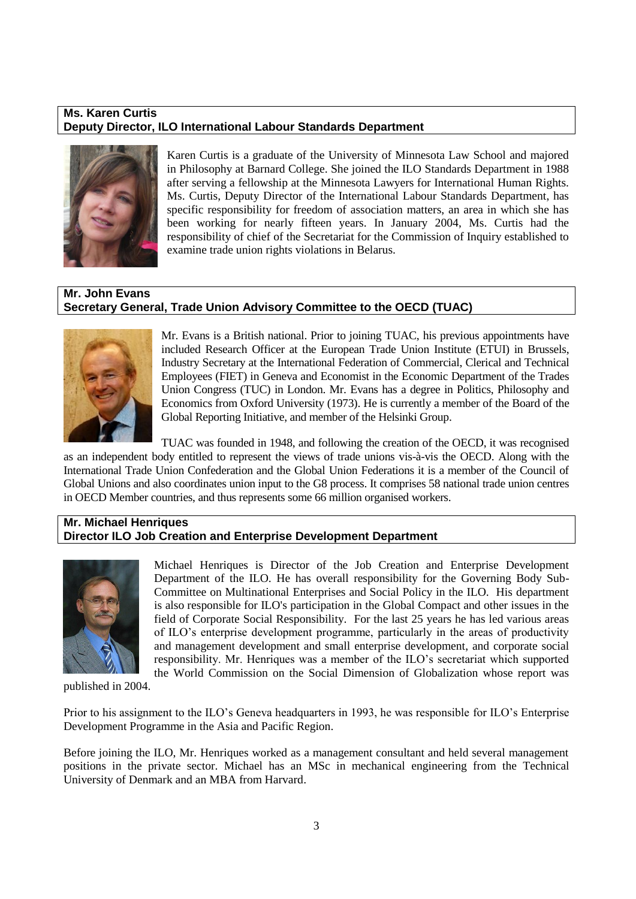## **Ms. Karen Curtis Deputy Director, ILO International Labour Standards Department**



Karen Curtis is a graduate of the University of Minnesota Law School and majored in Philosophy at Barnard College. She joined the ILO Standards Department in 1988 after serving a fellowship at the Minnesota Lawyers for International Human Rights. Ms. Curtis, Deputy Director of the International Labour Standards Department, has specific responsibility for freedom of association matters, an area in which she has been working for nearly fifteen years. In January 2004, Ms. Curtis had the responsibility of chief of the Secretariat for the Commission of Inquiry established to examine trade union rights violations in Belarus.

## **Mr. John Evans Secretary General, Trade Union Advisory Committee to the OECD (TUAC)**



Mr. Evans is a British national. Prior to joining TUAC, his previous appointments have included Research Officer at the European Trade Union Institute (ETUI) in Brussels, Industry Secretary at the International Federation of Commercial, Clerical and Technical Employees (FIET) in Geneva and Economist in the Economic Department of the Trades Union Congress (TUC) in London. Mr. Evans has a degree in Politics, Philosophy and Economics from Oxford University (1973). He is currently a member of the Board of the Global Reporting Initiative, and member of the Helsinki Group.

TUAC was founded in 1948, and following the creation of the OECD, it was recognised as an independent body entitled to represent the views of trade unions vis-à-vis the OECD. Along with the International Trade Union Confederation and the Global Union Federations it is a member of the Council of Global Unions and also coordinates union input to the G8 process. It comprises 58 national trade union centres in OECD Member countries, and thus represents some 66 million organised workers.

## **Mr. Michael Henriques Director ILO Job Creation and Enterprise Development Department**



Michael Henriques is Director of the Job Creation and Enterprise Development Department of the ILO. He has overall responsibility for the Governing Body Sub-Committee on Multinational Enterprises and Social Policy in the ILO. His department is also responsible for ILO's participation in the Global Compact and other issues in the field of Corporate Social Responsibility. For the last 25 years he has led various areas of ILO"s enterprise development programme, particularly in the areas of productivity and management development and small enterprise development, and corporate social responsibility. Mr. Henriques was a member of the ILO"s secretariat which supported the World Commission on the Social Dimension of Globalization whose report was

published in 2004.

Prior to his assignment to the ILO"s Geneva headquarters in 1993, he was responsible for ILO"s Enterprise Development Programme in the Asia and Pacific Region.

Before joining the ILO, Mr. Henriques worked as a management consultant and held several management positions in the private sector. Michael has an MSc in mechanical engineering from the Technical University of Denmark and an MBA from Harvard.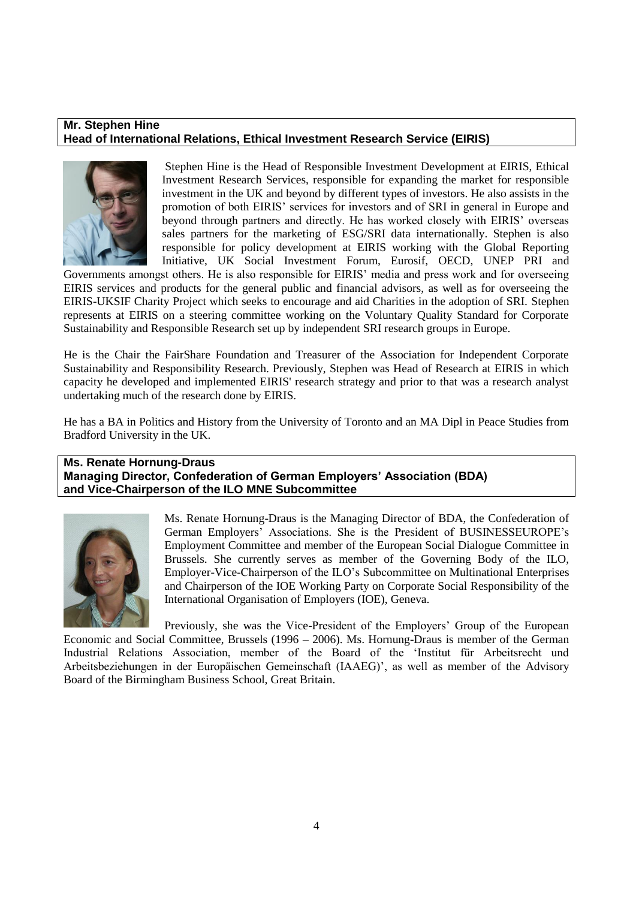## **Mr. Stephen Hine Head of International Relations, Ethical Investment Research Service (EIRIS)**



Stephen Hine is the Head of Responsible Investment Development at EIRIS, Ethical Investment Research Services, responsible for expanding the market for responsible investment in the UK and beyond by different types of investors. He also assists in the promotion of both EIRIS" services for investors and of SRI in general in Europe and beyond through partners and directly. He has worked closely with EIRIS" overseas sales partners for the marketing of ESG/SRI data internationally. Stephen is also responsible for policy development at EIRIS working with the Global Reporting Initiative, UK Social Investment Forum, Eurosif, OECD, UNEP PRI and

Governments amongst others. He is also responsible for EIRIS" media and press work and for overseeing EIRIS services and products for the general public and financial advisors, as well as for overseeing the EIRIS-UKSIF Charity Project which seeks to encourage and aid Charities in the adoption of SRI. Stephen represents at EIRIS on a steering committee working on the Voluntary Quality Standard for Corporate Sustainability and Responsible Research set up by independent SRI research groups in Europe.

He is the Chair the FairShare Foundation and Treasurer of the Association for Independent Corporate Sustainability and Responsibility Research. Previously, Stephen was Head of Research at EIRIS in which capacity he developed and implemented EIRIS' research strategy and prior to that was a research analyst undertaking much of the research done by EIRIS.

He has a BA in Politics and History from the University of Toronto and an MA Dipl in Peace Studies from Bradford University in the UK.

## **Ms. Renate Hornung-Draus**

**Managing Director, Confederation of German Employers' Association (BDA) and Vice-Chairperson of the ILO MNE Subcommittee**



Ms. Renate Hornung-Draus is the Managing Director of BDA, the Confederation of German Employers" Associations. She is the President of BUSINESSEUROPE"s Employment Committee and member of the European Social Dialogue Committee in Brussels. She currently serves as member of the Governing Body of the ILO, Employer-Vice-Chairperson of the ILO"s Subcommittee on Multinational Enterprises and Chairperson of the IOE Working Party on Corporate Social Responsibility of the International Organisation of Employers (IOE), Geneva.

Previously, she was the Vice-President of the Employers" Group of the European Economic and Social Committee, Brussels (1996 – 2006). Ms. Hornung-Draus is member of the German Industrial Relations Association, member of the Board of the "Institut für Arbeitsrecht und Arbeitsbeziehungen in der Europäischen Gemeinschaft (IAAEG)", as well as member of the Advisory Board of the Birmingham Business School, Great Britain.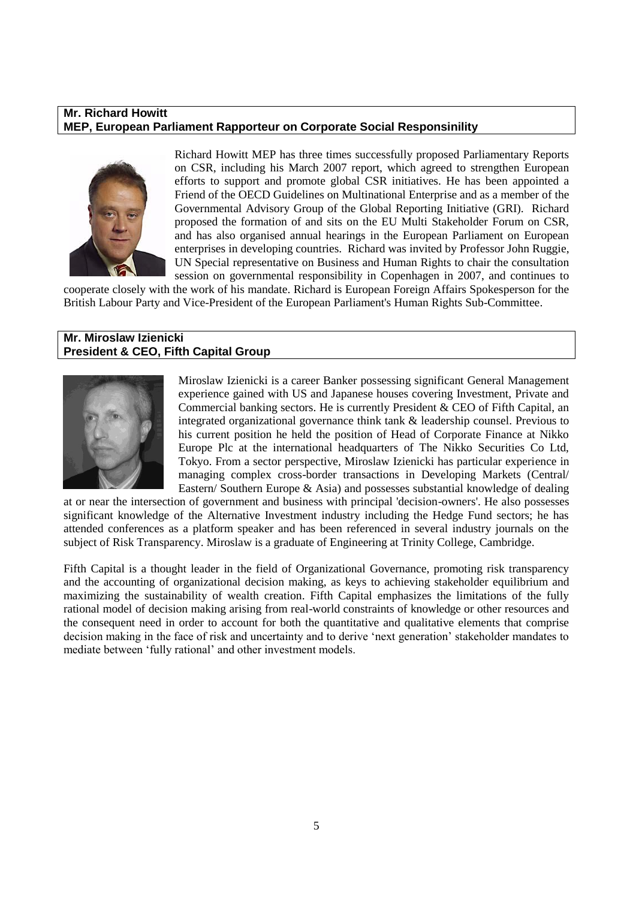#### **Mr. Richard Howitt MEP, European Parliament Rapporteur on Corporate Social Responsinility**



Richard Howitt MEP has three times successfully proposed Parliamentary Reports on CSR, including his March 2007 report, which agreed to strengthen European efforts to support and promote global CSR initiatives. He has been appointed a Friend of the OECD Guidelines on Multinational Enterprise and as a member of the Governmental Advisory Group of the Global Reporting Initiative (GRI). Richard proposed the formation of and sits on the EU Multi Stakeholder Forum on CSR, and has also organised annual hearings in the European Parliament on European enterprises in developing countries. Richard was invited by Professor John Ruggie, UN Special representative on Business and Human Rights to chair the consultation session on governmental responsibility in Copenhagen in 2007, and continues to

cooperate closely with the work of his mandate. Richard is European Foreign Affairs Spokesperson for the British Labour Party and Vice-President of the European Parliament's Human Rights Sub-Committee.

## **Mr. Miroslaw Izienicki President & CEO, Fifth Capital Group**



Miroslaw Izienicki is a career Banker possessing significant General Management experience gained with US and Japanese houses covering Investment, Private and Commercial banking sectors. He is currently President & CEO of Fifth Capital, an integrated organizational governance think tank & leadership counsel. Previous to his current position he held the position of Head of Corporate Finance at Nikko Europe Plc at the international headquarters of The Nikko Securities Co Ltd, Tokyo. From a sector perspective, Miroslaw Izienicki has particular experience in managing complex cross-border transactions in Developing Markets (Central/ Eastern/ Southern Europe & Asia) and possesses substantial knowledge of dealing

at or near the intersection of government and business with principal 'decision-owners'. He also possesses significant knowledge of the Alternative Investment industry including the Hedge Fund sectors; he has attended conferences as a platform speaker and has been referenced in several industry journals on the subject of Risk Transparency. Miroslaw is a graduate of Engineering at Trinity College, Cambridge.

Fifth Capital is a thought leader in the field of Organizational Governance, promoting risk transparency and the accounting of organizational decision making, as keys to achieving stakeholder equilibrium and maximizing the sustainability of wealth creation. Fifth Capital emphasizes the limitations of the fully rational model of decision making arising from real-world constraints of knowledge or other resources and the consequent need in order to account for both the quantitative and qualitative elements that comprise decision making in the face of risk and uncertainty and to derive "next generation" stakeholder mandates to mediate between "fully rational" and other investment models.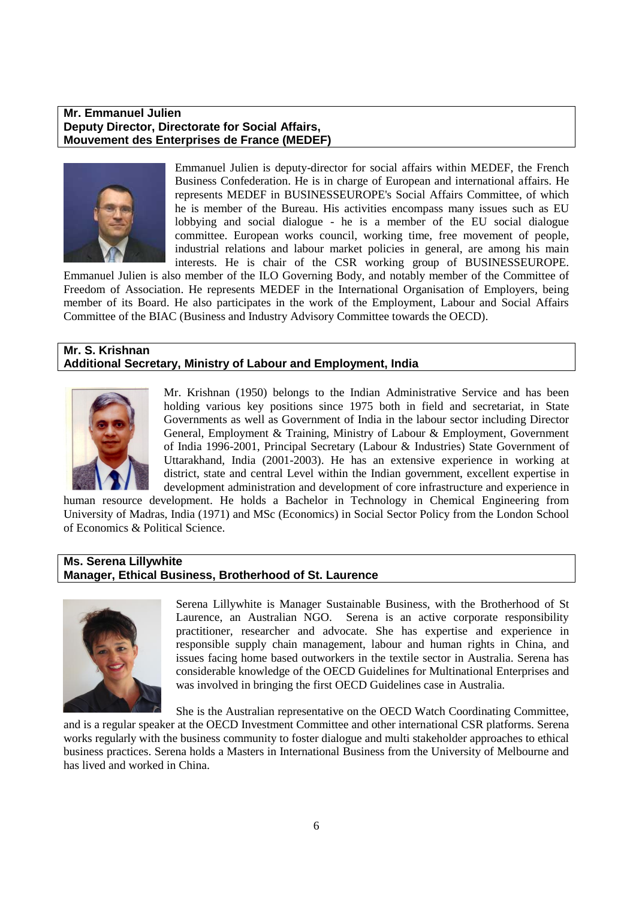#### **Mr. Emmanuel Julien Deputy Director, Directorate for Social Affairs, Mouvement des Enterprises de France (MEDEF)**



Emmanuel Julien is deputy-director for social affairs within MEDEF, the French Business Confederation. He is in charge of European and international affairs. He represents MEDEF in BUSINESSEUROPE's Social Affairs Committee, of which he is member of the Bureau. His activities encompass many issues such as EU lobbying and social dialogue - he is a member of the EU social dialogue committee. European works council, working time, free movement of people, industrial relations and labour market policies in general, are among his main interests. He is chair of the CSR working group of BUSINESSEUROPE.

Emmanuel Julien is also member of the ILO Governing Body, and notably member of the Committee of Freedom of Association. He represents MEDEF in the International Organisation of Employers, being member of its Board. He also participates in the work of the Employment, Labour and Social Affairs Committee of the BIAC (Business and Industry Advisory Committee towards the OECD).

#### **Mr. S. Krishnan Additional Secretary, Ministry of Labour and Employment, India**



Mr. Krishnan (1950) belongs to the Indian Administrative Service and has been holding various key positions since 1975 both in field and secretariat, in State Governments as well as Government of India in the labour sector including Director General, Employment & Training, Ministry of Labour & Employment, Government of India 1996-2001, Principal Secretary (Labour & Industries) State Government of Uttarakhand, India (2001-2003). He has an extensive experience in working at district, state and central Level within the Indian government, excellent expertise in development administration and development of core infrastructure and experience in

human resource development. He holds a Bachelor in Technology in Chemical Engineering from University of Madras, India (1971) and MSc (Economics) in Social Sector Policy from the London School of Economics & Political Science.

#### **Ms. Serena Lillywhite Manager, Ethical Business, Brotherhood of St. Laurence**



Serena Lillywhite is Manager Sustainable Business, with the Brotherhood of St Laurence, an Australian NGO. Serena is an active corporate responsibility practitioner, researcher and advocate. She has expertise and experience in responsible supply chain management, labour and human rights in China, and issues facing home based outworkers in the textile sector in Australia. Serena has considerable knowledge of the OECD Guidelines for Multinational Enterprises and was involved in bringing the first OECD Guidelines case in Australia.

She is the Australian representative on the OECD Watch Coordinating Committee,

and is a regular speaker at the OECD Investment Committee and other international CSR platforms. Serena works regularly with the business community to foster dialogue and multi stakeholder approaches to ethical business practices. Serena holds a Masters in International Business from the University of Melbourne and has lived and worked in China.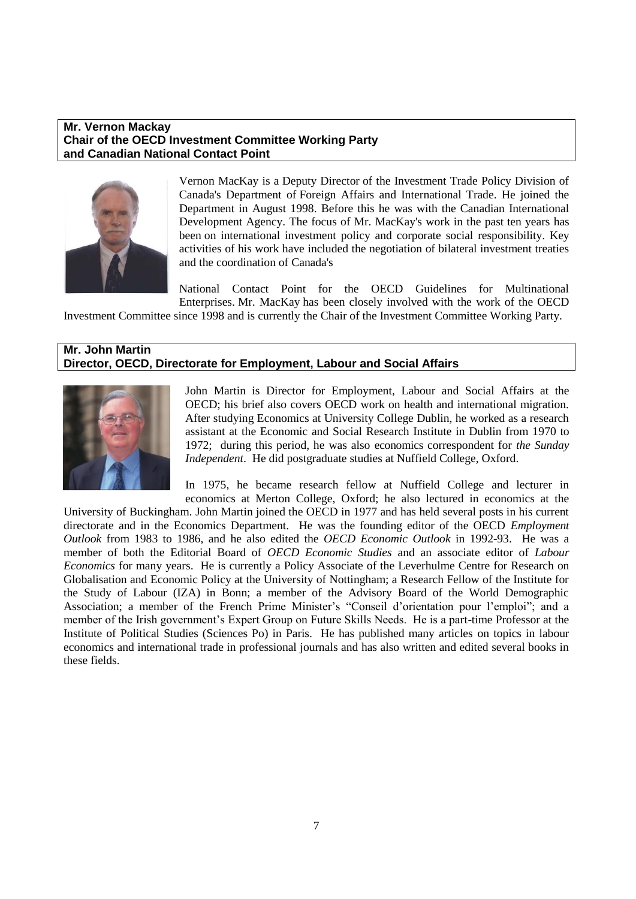## **Mr. Vernon Mackay Chair of the OECD Investment Committee Working Party and Canadian National Contact Point**



Vernon MacKay is a Deputy Director of the Investment Trade Policy Division of Canada's Department of Foreign Affairs and International Trade. He joined the Department in August 1998. Before this he was with the Canadian International Development Agency. The focus of Mr. MacKay's work in the past ten years has been on international investment policy and corporate social responsibility. Key activities of his work have included the negotiation of bilateral investment treaties and the coordination of Canada's

National Contact Point for the OECD Guidelines for Multinational Enterprises. Mr. MacKay has been closely involved with the work of the OECD

Investment Committee since 1998 and is currently the Chair of the Investment Committee Working Party.

#### **Mr. John Martin Director, OECD, Directorate for Employment, Labour and Social Affairs**



John Martin is Director for Employment, Labour and Social Affairs at the OECD; his brief also covers OECD work on health and international migration. After studying Economics at University College Dublin, he worked as a research assistant at the Economic and Social Research Institute in Dublin from 1970 to 1972; during this period, he was also economics correspondent for *the Sunday Independent*. He did postgraduate studies at Nuffield College, Oxford.

In 1975, he became research fellow at Nuffield College and lecturer in economics at Merton College, Oxford; he also lectured in economics at the

University of Buckingham. John Martin joined the OECD in 1977 and has held several posts in his current directorate and in the Economics Department. He was the founding editor of the OECD *Employment Outlook* from 1983 to 1986, and he also edited the *OECD Economic Outlook* in 1992-93. He was a member of both the Editorial Board of *OECD Economic Studies* and an associate editor of *Labour Economics* for many years. He is currently a Policy Associate of the Leverhulme Centre for Research on Globalisation and Economic Policy at the University of Nottingham; a Research Fellow of the Institute for the Study of Labour (IZA) in Bonn; a member of the Advisory Board of the World Demographic Association; a member of the French Prime Minister's "Conseil d'orientation pour l'emploi"; and a member of the Irish government"s Expert Group on Future Skills Needs. He is a part-time Professor at the Institute of Political Studies (Sciences Po) in Paris. He has published many articles on topics in labour economics and international trade in professional journals and has also written and edited several books in these fields.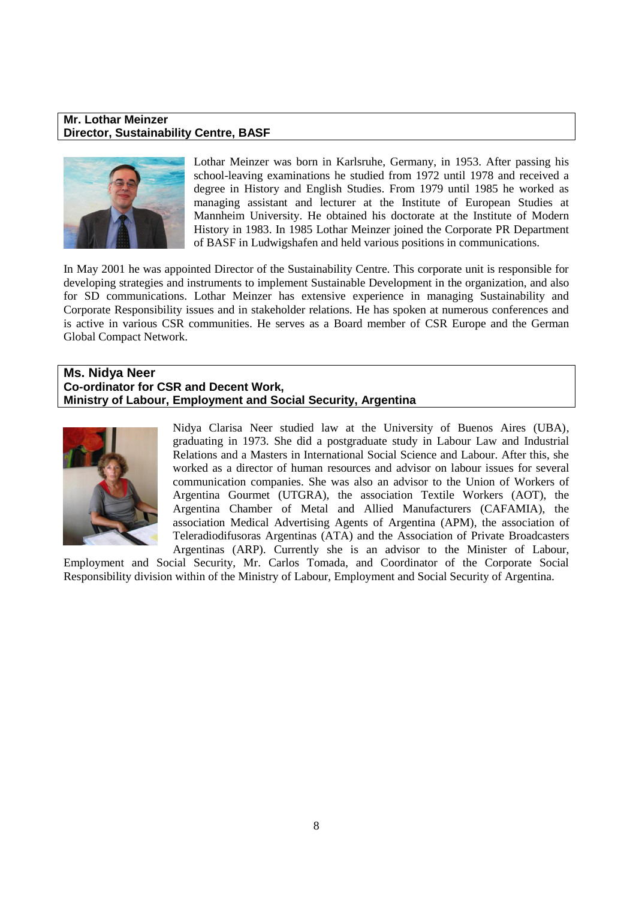#### **Mr. Lothar Meinzer Director, Sustainability Centre, BASF**



Lothar Meinzer was born in Karlsruhe, Germany, in 1953. After passing his school-leaving examinations he studied from 1972 until 1978 and received a degree in History and English Studies. From 1979 until 1985 he worked as managing assistant and lecturer at the Institute of European Studies at Mannheim University. He obtained his doctorate at the Institute of Modern History in 1983. In 1985 Lothar Meinzer joined the Corporate PR Department of BASF in Ludwigshafen and held various positions in communications.

In May 2001 he was appointed Director of the Sustainability Centre. This corporate unit is responsible for developing strategies and instruments to implement Sustainable Development in the organization, and also for SD communications. Lothar Meinzer has extensive experience in managing Sustainability and Corporate Responsibility issues and in stakeholder relations. He has spoken at numerous conferences and is active in various CSR communities. He serves as a Board member of CSR Europe and the German Global Compact Network.

## **Ms. Nidya Neer Co-ordinator for CSR and Decent Work, Ministry of Labour, Employment and Social Security, Argentina**



Nidya Clarisa Neer studied law at the University of Buenos Aires (UBA), graduating in 1973. She did a postgraduate study in Labour Law and Industrial Relations and a Masters in International Social Science and Labour. After this, she worked as a director of human resources and advisor on labour issues for several communication companies. She was also an advisor to the Union of Workers of Argentina Gourmet (UTGRA), the association Textile Workers (AOT), the Argentina Chamber of Metal and Allied Manufacturers (CAFAMIA), the association Medical Advertising Agents of Argentina (APM), the association of Teleradiodifusoras Argentinas (ATA) and the Association of Private Broadcasters Argentinas (ARP). Currently she is an advisor to the Minister of Labour,

Employment and Social Security, Mr. Carlos Tomada, and Coordinator of the Corporate Social Responsibility division within of the Ministry of Labour, Employment and Social Security of Argentina.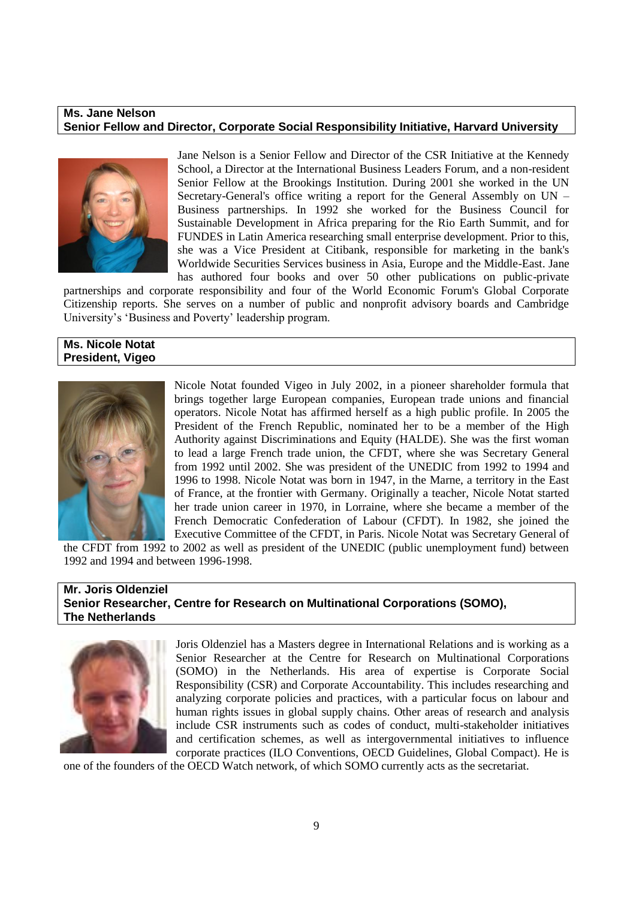#### **Ms. Jane Nelson Senior Fellow and Director, Corporate Social Responsibility Initiative, Harvard University**



Jane Nelson is a Senior Fellow and Director of the CSR Initiative at the Kennedy School, a Director at the International Business Leaders Forum, and a non-resident Senior Fellow at the Brookings Institution. During 2001 she worked in the UN Secretary-General's office writing a report for the General Assembly on UN – Business partnerships. In 1992 she worked for the Business Council for Sustainable Development in Africa preparing for the Rio Earth Summit, and for FUNDES in Latin America researching small enterprise development. Prior to this, she was a Vice President at Citibank, responsible for marketing in the bank's Worldwide Securities Services business in Asia, Europe and the Middle-East. Jane has authored four books and over 50 other publications on public-private

partnerships and corporate responsibility and four of the World Economic Forum's Global Corporate Citizenship reports. She serves on a number of public and nonprofit advisory boards and Cambridge University's 'Business and Poverty' leadership program.

#### **Ms. Nicole Notat President, Vigeo**



Nicole Notat founded [Vigeo](http://en.wikipedia.org/wiki/Vigeo) in July 2002, in a pioneer shareholder formula that brings together large European companies, European trade unions and financial operators. Nicole Notat has affirmed herself as a high public profile. In 2005 the President of the French Republic, nominated her to be a member of the High Authority against Discriminations and Equity (HALDE). She was the first woman to lead a large French trade union, the CFDT, where she was Secretary General from 1992 until 2002. She was president of the UNEDIC from 1992 to 1994 and 1996 to 1998. Nicole Notat was born in 1947, in the Marne, a territory in the East of France, at the frontier with Germany. Originally a teacher, Nicole Notat started her trade union career in 1970, in Lorraine, where she became a member of the French Democratic Confederation of Labour [\(CFDT\)](http://www.cfdt.fr/cfdt_a_z/connaitre/english.htm). In 1982, she joined the Executive Committee of the CFDT, in Paris. Nicole Notat was Secretary General of

the CFDT from 1992 to 2002 as well as president of the UNEDIC (public unemployment fund) between 1992 and 1994 and between 1996-1998.

## **Mr. Joris Oldenziel Senior Researcher, Centre for Research on Multinational Corporations (SOMO), The Netherlands**



Joris Oldenziel has a Masters degree in International Relations and is working as a Senior Researcher at the Centre for Research on Multinational Corporations (SOMO) in the Netherlands. His area of expertise is Corporate Social Responsibility (CSR) and Corporate Accountability. This includes researching and analyzing corporate policies and practices, with a particular focus on labour and human rights issues in global supply chains. Other areas of research and analysis include CSR instruments such as codes of conduct, multi-stakeholder initiatives and certification schemes, as well as intergovernmental initiatives to influence corporate practices (ILO Conventions, OECD Guidelines, Global Compact). He is

one of the founders of the OECD Watch network, of which SOMO currently acts as the secretariat.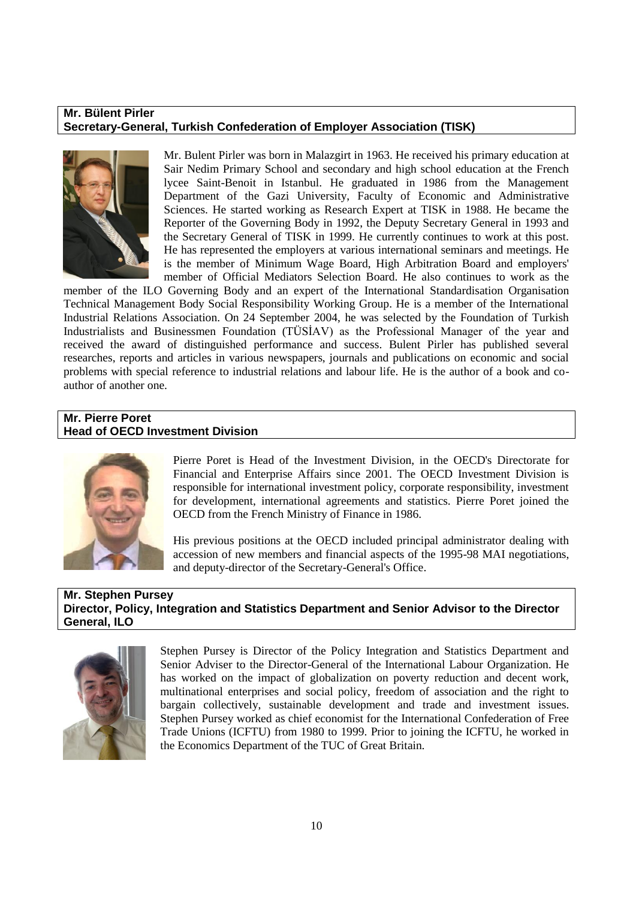## **Mr. Bülent Pirler Secretary-General, Turkish Confederation of Employer Association (TISK)**



Mr. Bulent Pirler was born in Malazgirt in 1963. He received his primary education at Sair Nedim Primary School and secondary and high school education at the French lycee Saint-Benoit in Istanbul. He graduated in 1986 from the Management Department of the Gazi University, Faculty of Economic and Administrative Sciences. He started working as Research Expert at TISK in 1988. He became the Reporter of the Governing Body in 1992, the Deputy Secretary General in 1993 and the Secretary General of TISK in 1999. He currently continues to work at this post. He has represented the employers at various international seminars and meetings. He is the member of Minimum Wage Board, High Arbitration Board and employers' member of Official Mediators Selection Board. He also continues to work as the

member of the ILO Governing Body and an expert of the International Standardisation Organisation Technical Management Body Social Responsibility Working Group. He is a member of the International Industrial Relations Association. On 24 September 2004, he was selected by the Foundation of Turkish Industrialists and Businessmen Foundation (TÜSİAV) as the Professional Manager of the year and received the award of distinguished performance and success. Bulent Pirler has published several researches, reports and articles in various newspapers, journals and publications on economic and social problems with special reference to industrial relations and labour life. He is the author of a book and coauthor of another one.

## **Mr. Pierre Poret Head of OECD Investment Division**



Pierre Poret is Head of the Investment Division, in the OECD's Directorate for Financial and Enterprise Affairs since 2001. The OECD Investment Division is responsible for international investment policy, corporate responsibility, investment for development, international agreements and statistics. Pierre Poret joined the OECD from the French Ministry of Finance in 1986.

His previous positions at the OECD included principal administrator dealing with accession of new members and financial aspects of the 1995-98 MAI negotiations, and deputy-director of the Secretary-General's Office.

## **Mr. Stephen Pursey Director, Policy, Integration and Statistics Department and Senior Advisor to the Director General, ILO**



Stephen Pursey is Director of the Policy Integration and Statistics Department and Senior Adviser to the Director-General of the International Labour Organization. He has worked on the impact of globalization on poverty reduction and decent work, multinational enterprises and social policy, freedom of association and the right to bargain collectively, sustainable development and trade and investment issues. Stephen Pursey worked as chief economist for the International Confederation of Free Trade Unions (ICFTU) from 1980 to 1999. Prior to joining the ICFTU, he worked in the Economics Department of the TUC of Great Britain.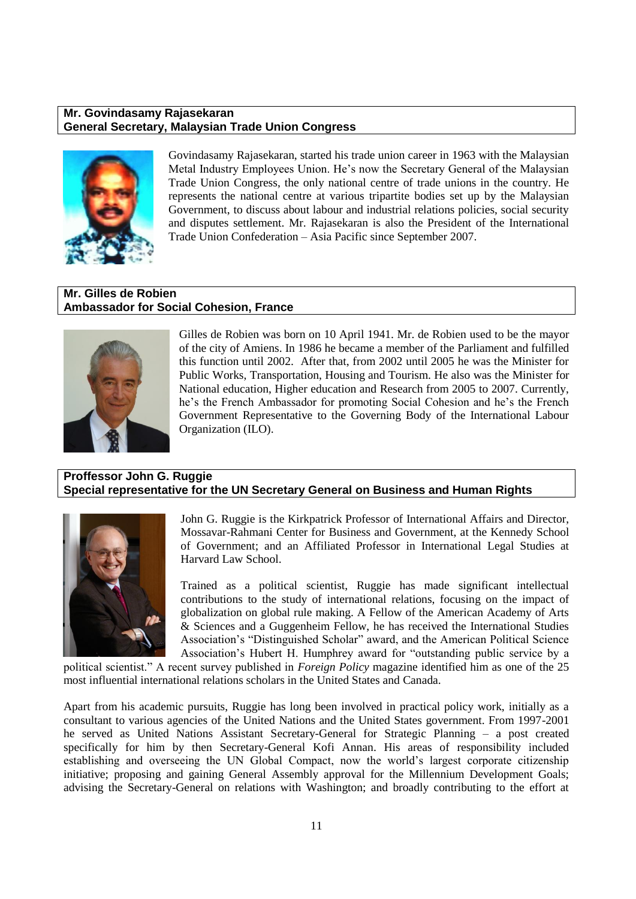#### **Mr. Govindasamy Rajasekaran General Secretary, Malaysian Trade Union Congress**



Govindasamy Rajasekaran, started his trade union career in 1963 with the Malaysian Metal Industry Employees Union. He"s now the Secretary General of the Malaysian Trade Union Congress, the only national centre of trade unions in the country. He represents the national centre at various tripartite bodies set up by the Malaysian Government, to discuss about labour and industrial relations policies, social security and disputes settlement. Mr. Rajasekaran is also the President of the International Trade Union Confederation – Asia Pacific since September 2007.

## **Mr. Gilles de Robien Ambassador for Social Cohesion, France**



Gilles de Robien was born on 10 April 1941. Mr. de Robien used to be the mayor of the city of Amiens. In 1986 he became a member of the Parliament and fulfilled this function until 2002. After that, from 2002 until 2005 he was the Minister for Public Works, Transportation, Housing and Tourism. He also was the Minister for National education, Higher education and Research from 2005 to 2007. Currently, he's the French Ambassador for promoting Social Cohesion and he's the French Government Representative to the Governing Body of the International Labour Organization (ILO).

## **Proffessor John G. Ruggie Special representative for the UN Secretary General on Business and Human Rights**



John G. Ruggie is the Kirkpatrick Professor of International Affairs and Director, Mossavar-Rahmani Center for Business and Government, at the Kennedy School of Government; and an Affiliated Professor in International Legal Studies at Harvard Law School.

Trained as a political scientist, Ruggie has made significant intellectual contributions to the study of international relations, focusing on the impact of globalization on global rule making. A Fellow of the American Academy of Arts & Sciences and a Guggenheim Fellow, he has received the International Studies Association"s "Distinguished Scholar" award, and the American Political Science Association"s Hubert H. Humphrey award for "outstanding public service by a

political scientist." A recent survey published in *Foreign Policy* magazine identified him as one of the 25 most influential international relations scholars in the United States and Canada.

Apart from his academic pursuits, Ruggie has long been involved in practical policy work, initially as a consultant to various agencies of the United Nations and the United States government. From 1997-2001 he served as United Nations Assistant Secretary-General for Strategic Planning – a post created specifically for him by then Secretary-General Kofi Annan. His areas of responsibility included establishing and overseeing the UN Global Compact, now the world"s largest corporate citizenship initiative; proposing and gaining General Assembly approval for the Millennium Development Goals; advising the Secretary-General on relations with Washington; and broadly contributing to the effort at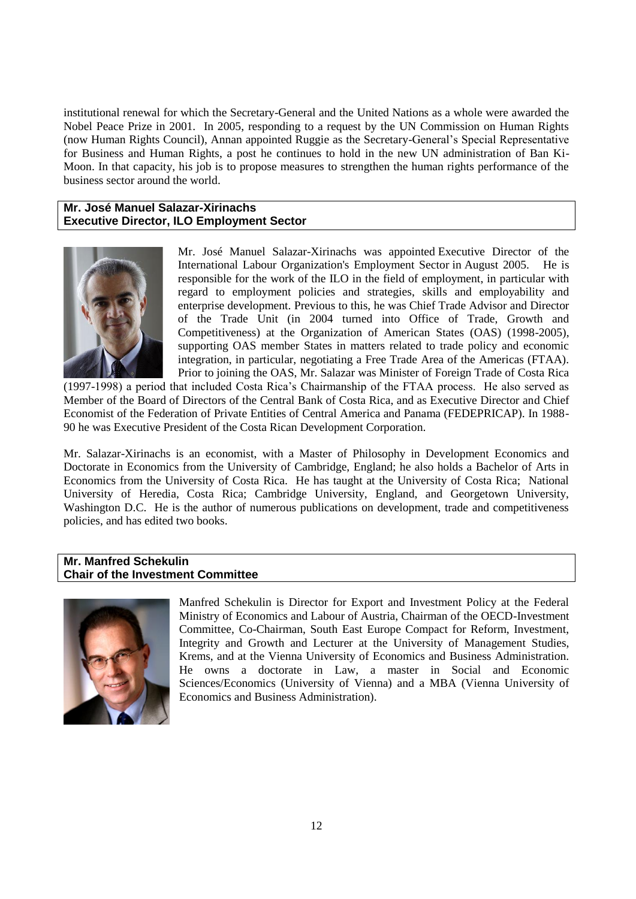institutional renewal for which the Secretary-General and the United Nations as a whole were awarded the Nobel Peace Prize in 2001. In 2005, responding to a request by the UN Commission on Human Rights (now Human Rights Council), Annan appointed Ruggie as the Secretary-General"s Special Representative for Business and Human Rights, a post he continues to hold in the new UN administration of Ban Ki-Moon. In that capacity, his job is to propose measures to strengthen the human rights performance of the business sector around the world.

#### **Mr. José Manuel Salazar-Xirinachs Executive Director, ILO Employment Sector**



Mr. José Manuel Salazar-Xirinachs was appointed Executive Director of the International Labour Organization's Employment Sector in August 2005. He is responsible for the work of the ILO in the field of employment, in particular with regard to employment policies and strategies, skills and employability and enterprise development. Previous to this, he was Chief Trade Advisor and Director of the Trade Unit (in 2004 turned into Office of Trade, Growth and Competitiveness) at the Organization of American States (OAS) (1998-2005), supporting OAS member States in matters related to trade policy and economic integration, in particular, negotiating a Free Trade Area of the Americas (FTAA). Prior to joining the OAS, Mr. Salazar was Minister of Foreign Trade of Costa Rica

(1997-1998) a period that included Costa Rica"s Chairmanship of the FTAA process. He also served as Member of the Board of Directors of the Central Bank of Costa Rica, and as Executive Director and Chief Economist of the Federation of Private Entities of Central America and Panama (FEDEPRICAP). In 1988- 90 he was Executive President of the Costa Rican Development Corporation.

Mr. Salazar-Xirinachs is an economist, with a Master of Philosophy in Development Economics and Doctorate in Economics from the University of Cambridge, England; he also holds a Bachelor of Arts in Economics from the University of Costa Rica. He has taught at the University of Costa Rica; National University of Heredia, Costa Rica; Cambridge University, England, and Georgetown University, Washington D.C. He is the author of numerous publications on development, trade and competitiveness policies, and has edited two books.

#### **Mr. Manfred Schekulin Chair of the Investment Committee**



Manfred Schekulin is Director for Export and Investment Policy at the Federal Ministry of Economics and Labour of Austria, Chairman of the OECD-Investment Committee, Co-Chairman, South East Europe Compact for Reform, Investment, Integrity and Growth and Lecturer at the University of Management Studies, Krems, and at the Vienna University of Economics and Business Administration. He owns a doctorate in Law, a master in Social and Economic Sciences/Economics (University of Vienna) and a MBA (Vienna University of Economics and Business Administration).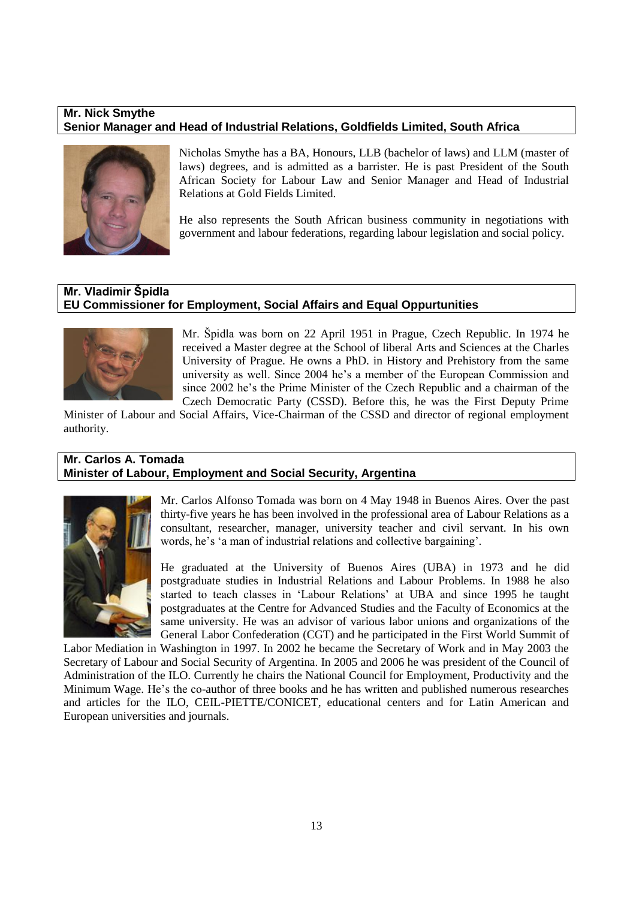## **Mr. Nick Smythe Senior Manager and Head of Industrial Relations, Goldfields Limited, South Africa**



Nicholas Smythe has a BA, Honours, LLB (bachelor of laws) and LLM (master of laws) degrees, and is admitted as a barrister. He is past President of the South African Society for Labour Law and Senior Manager and Head of Industrial Relations at Gold Fields Limited.

He also represents the South African business community in negotiations with government and labour federations, regarding labour legislation and social policy.

## **Mr. Vladimir Špidla EU Commissioner for Employment, Social Affairs and Equal Oppurtunities**



Mr. Špidla was born on 22 April 1951 in Prague, Czech Republic. In 1974 he received a Master degree at the School of liberal Arts and Sciences at the Charles University of Prague. He owns a PhD. in History and Prehistory from the same university as well. Since 2004 he"s a member of the European Commission and since 2002 he's the Prime Minister of the Czech Republic and a chairman of the Czech Democratic Party (CSSD). Before this, he was the First Deputy Prime

Minister of Labour and Social Affairs, Vice-Chairman of the CSSD and director of regional employment authority.

## **Mr. Carlos A. Tomada Minister of Labour, Employment and Social Security, Argentina**



Mr. Carlos Alfonso Tomada was born on 4 May 1948 in Buenos Aires. Over the past thirty-five years he has been involved in the professional area of Labour Relations as a consultant, researcher, manager, university teacher and civil servant. In his own words, he's 'a man of industrial relations and collective bargaining'.

He graduated at the University of Buenos Aires (UBA) in 1973 and he did postgraduate studies in Industrial Relations and Labour Problems. In 1988 he also started to teach classes in "Labour Relations" at UBA and since 1995 he taught postgraduates at the Centre for Advanced Studies and the Faculty of Economics at the same university. He was an advisor of various labor unions and organizations of the General Labor Confederation (CGT) and he participated in the First World Summit of

Labor Mediation in Washington in 1997. In 2002 he became the Secretary of Work and in May 2003 the Secretary of Labour and Social Security of Argentina. In 2005 and 2006 he was president of the Council of Administration of the ILO. Currently he chairs the National Council for Employment, Productivity and the Minimum Wage. He"s the co-author of three books and he has written and published numerous researches and articles for the ILO, CEIL-PIETTE/CONICET, educational centers and for Latin American and European universities and journals.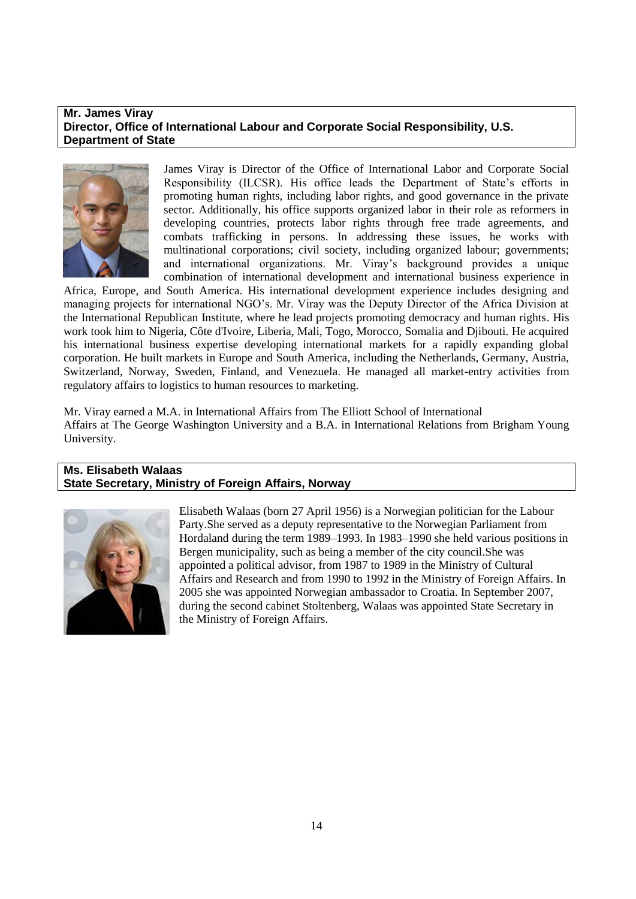#### **Mr. James Viray Director, Office of International Labour and Corporate Social Responsibility, U.S. Department of State**



James Viray is Director of the Office of International Labor and Corporate Social Responsibility (ILCSR). His office leads the Department of State"s efforts in promoting human rights, including labor rights, and good governance in the private sector. Additionally, his office supports organized labor in their role as reformers in developing countries, protects labor rights through free trade agreements, and combats trafficking in persons. In addressing these issues, he works with multinational corporations; civil society, including organized labour; governments; and international organizations. Mr. Viray"s background provides a unique combination of international development and international business experience in

Africa, Europe, and South America. His international development experience includes designing and managing projects for international NGO"s. Mr. Viray was the Deputy Director of the Africa Division at the International Republican Institute, where he lead projects promoting democracy and human rights. His work took him to Nigeria, Côte d'Ivoire, Liberia, Mali, Togo, Morocco, Somalia and Djibouti. He acquired his international business expertise developing international markets for a rapidly expanding global corporation. He built markets in Europe and South America, including the Netherlands, Germany, Austria, Switzerland, Norway, Sweden, Finland, and Venezuela. He managed all market-entry activities from regulatory affairs to logistics to human resources to marketing.

Mr. Viray earned a M.A. in International Affairs from The Elliott School of International Affairs at The George Washington University and a B.A. in International Relations from Brigham Young University.

## **Ms. Elisabeth Walaas State Secretary, Ministry of Foreign Affairs, Norway**



Elisabeth Walaas (born [27 April](http://en.wikipedia.org/wiki/April_27) [1956\)](http://en.wikipedia.org/wiki/1956) is a Norwegian politician for th[e Labour](http://en.wikipedia.org/wiki/Norwegian_Labour_Party)  [Party.](http://en.wikipedia.org/wiki/Norwegian_Labour_Party)She served as a deputy representative to the [Norwegian Parliament](http://en.wikipedia.org/wiki/Stortinget) from [Hordaland](http://en.wikipedia.org/wiki/Hordaland) during the term 1989–1993. In 1983–1990 she held various positions in [Bergen](http://en.wikipedia.org/wiki/Bergen) municipality, such as being a member of the city council.She was appointed a political advisor, from 1987 to 1989 in the Ministry of Cultural Affairs and Research and from 1990 to 1992 in the [Ministry of Foreign Affairs.](http://en.wikipedia.org/wiki/Norwegian_Ministry_of_Foreign_Affairs) In 2005 she was appointed Norwegian ambassador to [Croatia.](http://en.wikipedia.org/wiki/Croatia) In September 2007, during the [second cabinet Stoltenberg,](http://en.wikipedia.org/wiki/Second_cabinet_Stoltenberg) Walaas was appointed [State Secretary](http://en.wikipedia.org/wiki/State_Secretary#Norway) in the Ministry of Foreign Affairs.